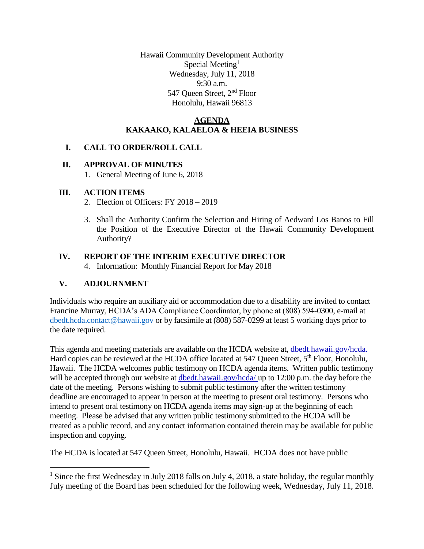Hawaii Community Development Authority Special Meeting<sup>1</sup> Wednesday, July 11, 2018 9:30 a.m. 547 Queen Street, 2nd Floor Honolulu, Hawaii 96813

## **AGENDA KAKAAKO, KALAELOA & HEEIA BUSINESS**

### **I. CALL TO ORDER/ROLL CALL**

### **II. APPROVAL OF MINUTES**

1. General Meeting of June 6, 2018

## **III. ACTION ITEMS**

- 2. Election of Officers: FY 2018 2019
- 3. Shall the Authority Confirm the Selection and Hiring of Aedward Los Banos to Fill the Position of the Executive Director of the Hawaii Community Development Authority?

# **IV. REPORT OF THE INTERIM EXECUTIVE DIRECTOR**

4. Information: Monthly Financial Report for May 2018

# **V. ADJOURNMENT**

l

Individuals who require an auxiliary aid or accommodation due to a disability are invited to contact Francine Murray, HCDA's ADA Compliance Coordinator, by phone at (808) 594-0300, e-mail at [dbedt.hcda.contact@hawaii.gov](mailto:dbedt.hcda.contact@hawaii.gov) or by facsimile at (808) 587-0299 at least 5 working days prior to the date required.

This agenda and meeting materials are available on the HCDA website at, dbedt.hawaii.gov/hcda. Hard copies can be reviewed at the HCDA office located at 547 Queen Street, 5<sup>th</sup> Floor, Honolulu, Hawaii. The HCDA welcomes public testimony on HCDA agenda items. Written public testimony will be accepted through our website at dbedt.hawaii.gov/hcda/ up to 12:00 p.m. the day before the date of the meeting. Persons wishing to submit public testimony after the written testimony deadline are encouraged to appear in person at the meeting to present oral testimony. Persons who intend to present oral testimony on HCDA agenda items may sign-up at the beginning of each meeting. Please be advised that any written public testimony submitted to the HCDA will be treated as a public record, and any contact information contained therein may be available for public inspection and copying.

The HCDA is located at 547 Queen Street, Honolulu, Hawaii. HCDA does not have public

<sup>&</sup>lt;sup>1</sup> Since the first Wednesday in July 2018 falls on July 4, 2018, a state holiday, the regular monthly July meeting of the Board has been scheduled for the following week, Wednesday, July 11, 2018.